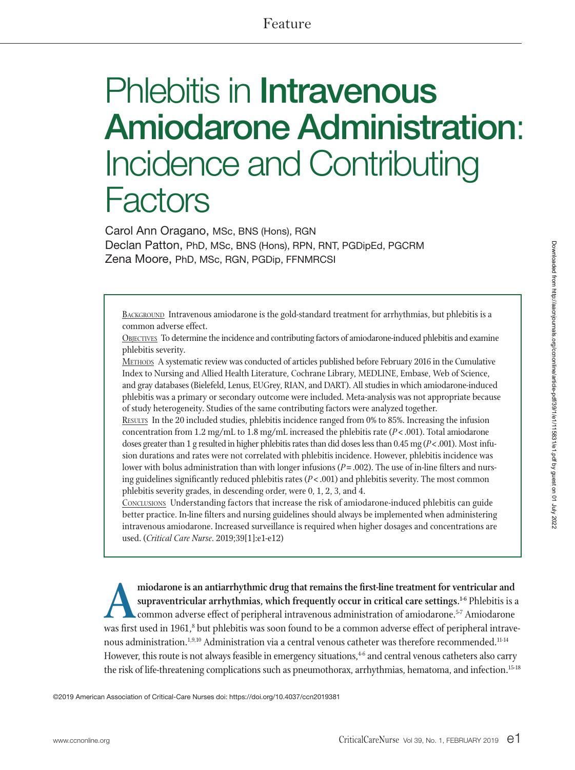# Feature

# Phlebitis in Intravenous Amiodarone Administration: Incidence and Contributing **Factors**

Carol Ann Oragano, MSc, BNS (Hons), RGN Declan Patton, PhD, MSc, BNS (Hons), RPN, RNT, PGDipEd, PGCRM Zena Moore, PhD, MSc, RGN, PGDip, FFNMRCSI

BACKGROUND Intravenous amiodarone is the gold-standard treatment for arrhythmias, but phlebitis is a common adverse effect.

Objectives To determine the incidence and contributing factors of amiodarone-induced phlebitis and examine phlebitis severity.

Methods A systematic review was conducted of articles published before February 2016 in the Cumulative Index to Nursing and Allied Health Literature, Cochrane Library, MEDLINE, Embase, Web of Science, and gray databases (Bielefeld, Lenus, EUGrey, RIAN, and DART). All studies in which amiodarone-induced phlebitis was a primary or secondary outcome were included. Meta-analysis was not appropriate because of study heterogeneity. Studies of the same contributing factors were analyzed together.

Results In the 20 included studies, phlebitis incidence ranged from 0% to 85%. Increasing the infusion concentration from 1.2 mg/mL to 1.8 mg/mL increased the phlebitis rate (*P*<.001). Total amiodarone doses greater than 1 g resulted in higher phlebitis rates than did doses less than 0.45 mg (*P*<.001). Most infusion durations and rates were not correlated with phlebitis incidence. However, phlebitis incidence was lower with bolus administration than with longer infusions ( $P = .002$ ). The use of in-line filters and nursing guidelines significantly reduced phlebitis rates (*P*<.001) and phlebitis severity. The most common phlebitis severity grades, in descending order, were 0, 1, 2, 3, and 4.

Conclusions Understanding factors that increase the risk of amiodarone-induced phlebitis can guide better practice. In-line filters and nursing guidelines should always be implemented when administering intravenous amiodarone. Increased surveillance is required when higher dosages and concentrations are used. (*Critical Care Nurse*. 2019;39[1]:e1-e12)

miodarone is an antiarrhythmic drug that remains the first-line treatment for ventricular and<br>supraventricular arrhythmias, which frequently occur in critical care settings.<sup>1-6</sup> Phlebitis is a<br>common adverse effect of per **supraventricular arrhythmias, which frequently occur in critical care settings.1-6** Phlebitis is a common adverse effect of peripheral intravenous administration of amiodarone.<sup>5-7</sup> Amiodarone was first used in 1961,8 but phlebitis was soon found to be a common adverse effect of peripheral intravenous administration.<sup>1,9,10</sup> Administration via a central venous catheter was therefore recommended.<sup>11-14</sup> However, this route is not always feasible in emergency situations,<sup>4-6</sup> and central venous catheters also carry the risk of life-threatening complications such as pneumothorax, arrhythmias, hematoma, and infection.<sup>15-18</sup>

©2019 American Association of Critical-Care Nurses doi: https://doi.org/10.4037/ccn2019381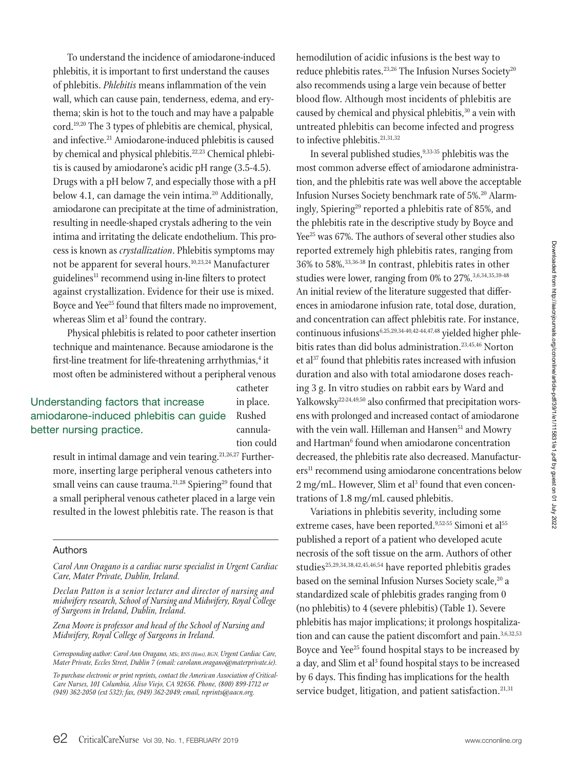To understand the incidence of amiodarone-induced phlebitis, it is important to first understand the causes of phlebitis. *Phlebitis* means inflammation of the vein wall, which can cause pain, tenderness, edema, and erythema; skin is hot to the touch and may have a palpable cord.19,20 The 3 types of phlebitis are chemical, physical, and infective.<sup>21</sup> Amiodarone-induced phlebitis is caused by chemical and physical phlebitis.<sup>22,23</sup> Chemical phlebitis is caused by amiodarone's acidic pH range (3.5-4.5). Drugs with a pH below 7, and especially those with a pH below 4.1, can damage the vein intima.<sup>20</sup> Additionally, amiodarone can precipitate at the time of administration, resulting in needle-shaped crystals adhering to the vein intima and irritating the delicate endothelium. This process is known as *crystallization*. Phlebitis symptoms may not be apparent for several hours.<sup>10,23,24</sup> Manufacturer guidelines $11$  recommend using in-line filters to protect against crystallization. Evidence for their use is mixed. Boyce and Yee<sup>25</sup> found that filters made no improvement, whereas Slim et al<sup>3</sup> found the contrary.

Physical phlebitis is related to poor catheter insertion technique and maintenance. Because amiodarone is the first-line treatment for life-threatening arrhythmias,<sup>4</sup> it most often be administered without a peripheral venous

## Understanding factors that increase amiodarone-induced phlebitis can guide better nursing practice.

catheter in place. Rushed cannulation could

result in intimal damage and vein tearing.<sup>21,26,27</sup> Furthermore, inserting large peripheral venous catheters into small veins can cause trauma.<sup>21,28</sup> Spiering<sup>29</sup> found that a small peripheral venous catheter placed in a large vein resulted in the lowest phlebitis rate. The reason is that

#### Authors

*Carol Ann Oragano is a cardiac nurse specialist in Urgent Cardiac Care, Mater Private, Dublin, Ireland.*

*Declan Patton is a senior lecturer and director of nursing and midwifery research, Schoolof Nursing and Midwifery, Royal College of Surgeons in Ireland, Dublin, Ireland.*

*Zena Moore is professor and head of the School of Nursing and Midwifery, Royal College of Surgeons in Ireland.*

*Corresponding author: Carol Ann Oragano, MSc, BNS (Hons), RGN, Urgent Cardiac Care, Mater Private, Eccles Street, Dublin 7 (email: carolann.oragano@materprivate.ie).*

*To purchase electronicor print reprints, contact the American Association of Critical-Care Nurses, 101 Columbia, Aliso Viejo, CA 92656. Phone, (800) 899-1712 or (949) 362-2050 (ext 532); fax, (949) 362-2049; email, reprints@aacn.org.*

hemodilution of acidic infusions is the best way to reduce phlebitis rates.<sup>23,26</sup> The Infusion Nurses Society<sup>20</sup> also recommends using a large vein because of better blood flow. Although most incidents of phlebitis are caused by chemical and physical phlebitis,<sup>30</sup> a vein with untreated phlebitis can become infected and progress to infective phlebitis.<sup>21,31,32</sup>

In several published studies,  $9,33-35$  phlebitis was the most common adverse effect of amiodarone administration, and the phlebitis rate was well above the acceptable Infusion Nurses Society benchmark rate of 5%.<sup>20</sup> Alarmingly, Spiering<sup>29</sup> reported a phlebitis rate of 85%, and the phlebitis rate in the descriptive study by Boyce and Yee<sup>25</sup> was 67%. The authors of several other studies also reported extremely high phlebitis rates, ranging from 36% to 58%.33,36-38 In contrast, phlebitis rates in other studies were lower, ranging from 0% to 27%.3,6,34,35,39-48 An initial review of the literature suggested that differences in amiodarone infusion rate, total dose, duration, and concentration can affect phlebitis rate. For instance, continuous infusions6,25,29,34-40,42-44,47,48 yielded higher phlebitis rates than did bolus administration.23,45,46 Norton et al<sup>37</sup> found that phlebitis rates increased with infusion duration and also with total amiodarone doses reaching 3 g. In vitro studies on rabbit ears by Ward and Yalkowsky<sup>22-24,49,50</sup> also confirmed that precipitation worsens with prolonged and increased contact of amiodarone with the vein wall. Hilleman and Hansen<sup>51</sup> and Mowry and Hartman<sup>6</sup> found when amiodarone concentration decreased, the phlebitis rate also decreased. Manufacturers<sup>11</sup> recommend using amiodarone concentrations below 2 mg/mL. However, Slim et al<sup>3</sup> found that even concentrations of 1.8 mg/mL caused phlebitis.

Variations in phlebitis severity, including some extreme cases, have been reported.<sup>9,52-55</sup> Simoni et al<sup>55</sup> published a report of a patient who developed acute necrosis of the soft tissue on the arm. Authors of other studies<sup>25,29,34,38,42,45,46,54</sup> have reported phlebitis grades based on the seminal Infusion Nurses Society scale,<sup>20</sup> a standardized scale of phlebitis grades ranging from 0 (no phlebitis) to 4 (severe phlebitis) (Table 1). Severe phlebitis has major implications; it prolongs hospitalization and can cause the patient discomfort and pain.<sup>3,6,32,53</sup> Boyce and Yee<sup>25</sup> found hospital stays to be increased by a day, and Slim et al<sup>3</sup> found hospital stays to be increased by 6 days. This finding has implications for the health service budget, litigation, and patient satisfaction.<sup>21,31</sup>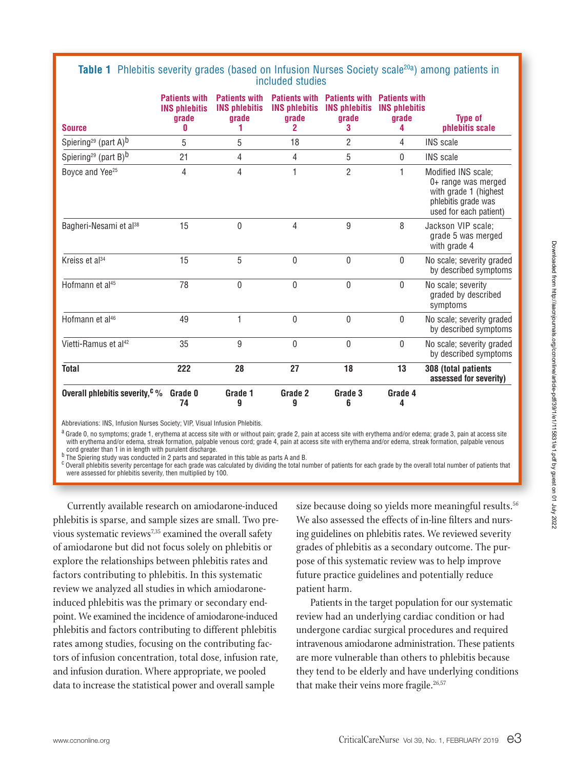#### **Table 1** Phlebitis severity grades (based on Infusion Nurses Society scale<sup>20a</sup>) among patients in included studies

| <b>Source</b>                                | <b>Patients with</b><br><b>INS phlebitis</b><br>grade<br>Λ | <b>Patients with</b><br><b>INS phlebitis</b><br>grade | <b>Patients with</b><br><b>INS phlebitis</b><br>grade<br>$\mathbf{2}$ | <b>Patients with</b><br><b>INS phlebitis</b><br>grade<br>3 | <b>Patients with</b><br><b>INS phlebitis</b><br>grade<br>4 | <b>Type of</b><br>phlebitis scale                                                                                    |
|----------------------------------------------|------------------------------------------------------------|-------------------------------------------------------|-----------------------------------------------------------------------|------------------------------------------------------------|------------------------------------------------------------|----------------------------------------------------------------------------------------------------------------------|
| Spiering <sup>29</sup> (part A) <sup>b</sup> | 5                                                          | 5                                                     | 18                                                                    | $\overline{2}$                                             | 4                                                          | <b>INS</b> scale                                                                                                     |
| Spiering <sup>29</sup> (part B) <sup>b</sup> | 21                                                         | 4                                                     | 4                                                                     | 5                                                          | 0                                                          | <b>INS</b> scale                                                                                                     |
| Boyce and Yee <sup>25</sup>                  | 4                                                          | 4                                                     | 1                                                                     | $\overline{2}$                                             | 1                                                          | Modified INS scale;<br>0+ range was merged<br>with grade 1 (highest<br>phlebitis grade was<br>used for each patient) |
| Bagheri-Nesami et al <sup>38</sup>           | 15                                                         | 0                                                     | 4                                                                     | 9                                                          | 8                                                          | Jackson VIP scale;<br>grade 5 was merged<br>with grade 4                                                             |
| Kreiss et al <sup>34</sup>                   | 15                                                         | 5                                                     | $\mathbf{0}$                                                          | 0                                                          | $\mathbf{0}$                                               | No scale; severity graded<br>by described symptoms                                                                   |
| Hofmann et al <sup>45</sup>                  | 78                                                         | 0                                                     | $\mathbf{0}$                                                          | 0                                                          | $\mathbf{0}$                                               | No scale; severity<br>graded by described<br>symptoms                                                                |
| Hofmann et al <sup>46</sup>                  | 49                                                         | 1                                                     | $\mathbf 0$                                                           | 0                                                          | $\mathbf{0}$                                               | No scale; severity graded<br>by described symptoms                                                                   |
| Vietti-Ramus et al <sup>42</sup>             | 35                                                         | 9                                                     | 0                                                                     | 0                                                          | 0                                                          | No scale; severity graded<br>by described symptoms                                                                   |
| <b>Total</b>                                 | 222                                                        | 28                                                    | 27                                                                    | 18                                                         | 13                                                         | 308 (total patients<br>assessed for severity)                                                                        |
| Overall phlebitis severity, $c \gamma$       | Grade 0<br>74                                              | Grade 1<br>9                                          | Grade 2<br>9                                                          | Grade 3<br>6                                               | Grade 4<br>4                                               |                                                                                                                      |

Abbreviations: INS, Infusion Nurses Society; VIP, Visual Infusion Phlebitis.

a Grade 0, no symptoms; grade 1, erythema at access site with or without pain; grade 2, pain at access site with erythema and/or edema; grade 3, pain at access site with erythema and/or edema, streak formation, palpable venous cord; grade 4, pain at access site with erythema and/or edema, streak formation, palpable venous cord greater than 1 in in length with purulent discharge.

b The Spiering study was conducted in 2 parts and separated in this table as parts A and B.

 $c$  Overall phlebitis severity percentage for each grade was calculated by dividing the total number of patients for each grade by the overall total number of patients that were assessed for phlebitis severity, then multiplied by 100.

Currently available research on amiodarone-induced phlebitis is sparse, and sample sizes are small. Two previous systematic reviews<sup>7,35</sup> examined the overall safety of amiodarone but did not focus solely on phlebitis or explore the relationships between phlebitis rates and factors contributing to phlebitis. In this systematic review we analyzed all studies in which amiodaroneinduced phlebitis was the primary or secondary endpoint. We examined the incidence of amiodarone-induced phlebitis and factors contributing to different phlebitis rates among studies, focusing on the contributing factors of infusion concentration, total dose, infusion rate, and infusion duration. Where appropriate, we pooled data to increase the statistical power and overall sample

size because doing so yields more meaningful results.<sup>56</sup> We also assessed the effects of in-line filters and nursing guidelines on phlebitis rates. We reviewed severity grades of phlebitis as a secondary outcome. The purpose of this systematic review was to help improve future practice guidelines and potentially reduce patient harm.

Patients in the target population for our systematic review had an underlying cardiac condition or had undergone cardiac surgical procedures and required intravenous amiodarone administration. These patients are more vulnerable than others to phlebitis because they tend to be elderly and have underlying conditions that make their veins more fragile. $26,57$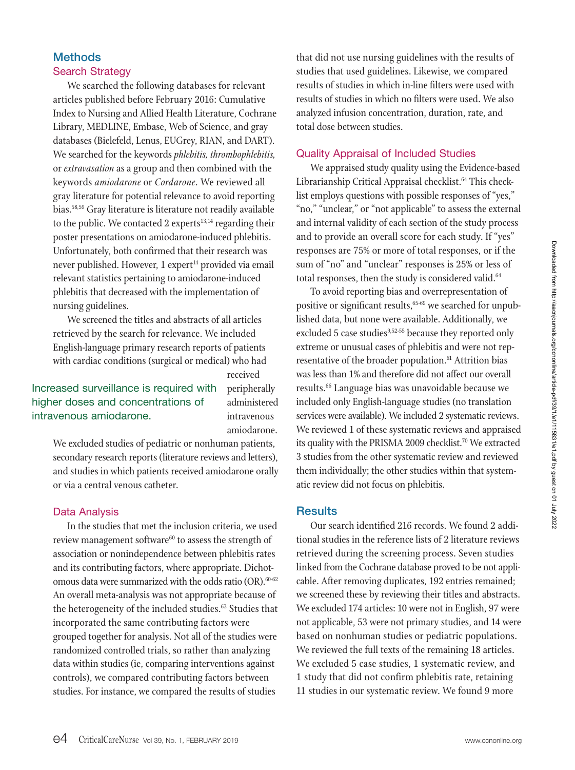## **Methods** Search Strategy

We searched the following databases for relevant articles published before February 2016: Cumulative Index to Nursing and Allied Health Literature, Cochrane Library, MEDLINE, Embase, Web of Science, and gray databases (Bielefeld, Lenus, EUGrey, RIAN, and DART). We searched for the keywords *phlebitis, thrombophlebitis,* or *extravasation* as a group and then combined with the keywords *amiodarone* or *Cordarone*. We reviewed all gray literature for potential relevance to avoid reporting bias.58,59 Gray literature is literature not readily available to the public. We contacted 2 experts $13,14$  regarding their poster presentations on amiodarone-induced phlebitis. Unfortunately, both confirmed that their research was never published. However, 1 expert<sup>14</sup> provided via email relevant statistics pertaining to amiodarone-induced phlebitis that decreased with the implementation of nursing guidelines.

We screened the titles and abstracts of all articles retrieved by the search for relevance. We included English-language primary research reports of patients with cardiac conditions (surgical or medical) who had

Increased surveillance is required with received peripherally administered intravenous

intravenous amiodarone. amiodarone. We excluded studies of pediatric or nonhuman patients, secondary research reports (literature reviews and letters), and studies in which patients received amiodarone orally

higher doses and concentrations of

or via a central venous catheter.

#### Data Analysis

In the studies that met the inclusion criteria, we used review management software<sup>60</sup> to assess the strength of association or nonindependence between phlebitis rates and its contributing factors, where appropriate. Dichotomous data were summarized with the odds ratio (OR). $60-62$ An overall meta-analysis was not appropriate because of the heterogeneity of the included studies.<sup>63</sup> Studies that incorporated the same contributing factors were grouped together for analysis. Not all of the studies were randomized controlled trials, so rather than analyzing data within studies (ie, comparing interventions against controls), we compared contributing factors between studies. For instance, we compared the results of studies

that did not use nursing guidelines with the results of studies that used guidelines. Likewise, we compared results of studies in which in-line filters were used with results of studies in which no filters were used. We also analyzed infusion concentration, duration, rate, and total dose between studies.

## Quality Appraisal of Included Studies

We appraised study quality using the Evidence-based Librarianship Critical Appraisal checklist.<sup>64</sup> This checklist employs questions with possible responses of "yes," "no," "unclear," or "not applicable" to assess the external and internal validity of each section of the study process and to provide an overall score for each study. If "yes" responses are 75% or more of total responses, or if the sum of "no" and "unclear" responses is 25% or less of total responses, then the study is considered valid.<sup>64</sup>

To avoid reporting bias and overrepresentation of positive or significant results, <sup>65-69</sup> we searched for unpublished data, but none were available. Additionally, we excluded 5 case studies<sup>9,52-55</sup> because they reported only extreme or unusual cases of phlebitis and were not representative of the broader population.<sup>61</sup> Attrition bias was less than 1% and therefore did not affect our overall results.66 Language bias was unavoidable because we included only English-language studies (no translation services were available). We included 2 systematic reviews. We reviewed 1 of these systematic reviews and appraised its quality with the PRISMA 2009 checklist.<sup>70</sup> We extracted 3 studies from the other systematic review and reviewed them individually; the other studies within that systematic review did not focus on phlebitis.

#### **Results**

Our search identified 216 records. We found 2 additional studies in the reference lists of 2 literature reviews retrieved during the screening process. Seven studies linked from the Cochrane database proved to be not applicable. After removing duplicates, 192 entries remained; we screened these by reviewing their titles and abstracts. We excluded 174 articles: 10 were not in English, 97 were not applicable, 53 were not primary studies, and 14 were based on nonhuman studies or pediatric populations. We reviewed the full texts of the remaining 18 articles. We excluded 5 case studies, 1 systematic review, and 1 study that did not confirm phlebitis rate, retaining 11 studies in our systematic review. We found 9 more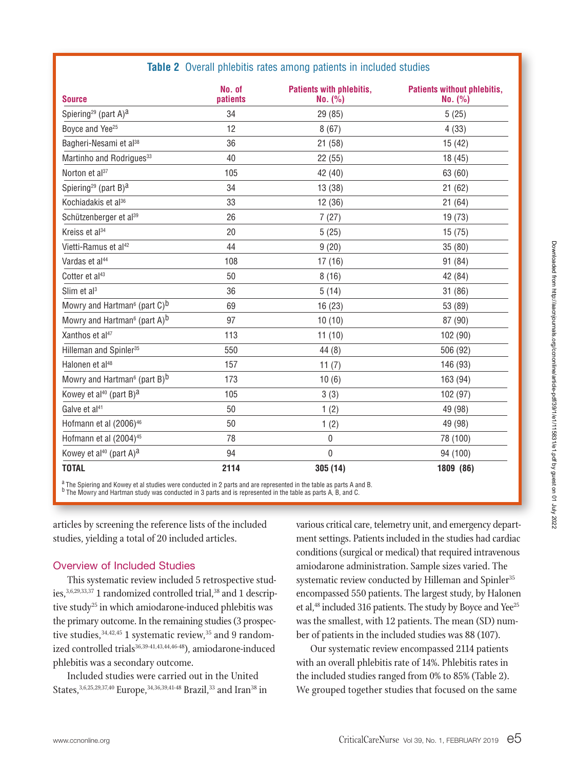## **Table 2** Overall phlebitis rates among patients in included studies

| <b>Source</b>                                        | No. of<br>patients | Patients with phlebitis,<br>No. (%) | <b>Patients without phlebitis,</b><br>No. (%) |
|------------------------------------------------------|--------------------|-------------------------------------|-----------------------------------------------|
| Spiering <sup>29</sup> (part A) <sup>a</sup>         | 34                 | 29 (85)                             | 5(25)                                         |
| Boyce and Yee <sup>25</sup>                          | 12                 | 8(67)                               | 4(33)                                         |
| Bagheri-Nesami et al <sup>38</sup>                   | 36                 | 21 (58)                             | 15(42)                                        |
| Martinho and Rodrigues <sup>33</sup>                 | 40                 | 22 (55)                             | 18(45)                                        |
| Norton et al <sup>37</sup>                           | 105                | 42 (40)                             | 63 (60)                                       |
| Spiering <sup>29</sup> (part B) <sup>a</sup>         | 34                 | 13 (38)                             | 21(62)                                        |
| Kochiadakis et al <sup>36</sup>                      | 33                 | 12 (36)                             | 21(64)                                        |
| Schützenberger et al <sup>39</sup>                   | 26                 | 7(27)                               | 19(73)                                        |
| Kreiss et al <sup>34</sup>                           | 20                 | 5(25)                               | 15(75)                                        |
| Vietti-Ramus et al <sup>42</sup>                     | 44                 | 9(20)                               | 35 (80)                                       |
| Vardas et al <sup>44</sup>                           | 108                | 17(16)                              | 91 (84)                                       |
| Cotter et al <sup>43</sup>                           | 50                 | 8(16)                               | 42 (84)                                       |
| Slim et $al3$                                        | 36                 | 5(14)                               | 31 (86)                                       |
| Mowry and Hartman <sup>6</sup> (part C) <sup>b</sup> | 69                 | 16(23)                              | 53 (89)                                       |
| Mowry and Hartman <sup>6</sup> (part A) <sup>b</sup> | 97                 | 10(10)                              | 87 (90)                                       |
| Xanthos et al <sup>47</sup>                          | 113                | 11(10)                              | 102 (90)                                      |
| Hilleman and Spinler <sup>35</sup>                   | 550                | 44(8)                               | 506 (92)                                      |
| Halonen et al <sup>48</sup>                          | 157                | 11 $(7)$                            | 146 (93)                                      |
| Mowry and Hartman <sup>6</sup> (part B) <sup>b</sup> | 173                | 10(6)                               | 163 (94)                                      |
| Kowey et al <sup>40</sup> (part B) <sup>a</sup>      | 105                | 3(3)                                | 102 (97)                                      |
| Galve et al <sup>41</sup>                            | 50                 | 1(2)                                | 49 (98)                                       |
| Hofmann et al (2006) <sup>46</sup>                   | 50                 | 1(2)                                | 49 (98)                                       |
| Hofmann et al (2004) <sup>45</sup>                   | 78                 | 0                                   | 78 (100)                                      |
| Kowey et al <sup>40</sup> (part A) <sup>a</sup>      | 94                 | $\boldsymbol{0}$                    | 94 (100)                                      |
| <b>TOTAL</b>                                         | 2114               | 305(14)                             | 1809 (86)                                     |

 $\frac{a}{b}$  The Spiering and Kowey et al studies were conducted in 2 parts and are represented in the table as parts A and B. <sup>b</sup> The Mowry and Hartman study was conducted in 3 parts and is represented in the table as parts A, B, and C.

articles by screening the reference lists of the included studies, yielding a total of 20 included articles.

## Overview of Included Studies

This systematic review included 5 retrospective studies,<sup>3,6,29,33,37</sup> 1 randomized controlled trial,<sup>38</sup> and 1 descriptive study<sup>25</sup> in which amiodarone-induced phlebitis was the primary outcome. In the remaining studies (3 prospective studies, <sup>34,42,45</sup> 1 systematic review, <sup>35</sup> and 9 randomized controlled trials<sup>36,39-41,43,44,46-48</sup>), amiodarone-induced phlebitis was a secondary outcome.

Included studies were carried out in the United States, 3,6,25,29,37,40 Europe, 34,36,39,41-48 Brazil, 33 and Iran<sup>38</sup> in various critical care, telemetry unit, and emergency department settings. Patients included in the studies had cardiac conditions (surgical or medical) that required intravenous amiodarone administration. Sample sizes varied. The systematic review conducted by Hilleman and Spinler<sup>35</sup> encompassed 550 patients. The largest study, by Halonen et al,<sup>48</sup> included 316 patients. The study by Boyce and Yee<sup>25</sup> was the smallest, with 12 patients. The mean (SD) number of patients in the included studies was 88 (107).

Our systematic review encompassed 2114 patients with an overall phlebitis rate of 14%. Phlebitis rates in the included studies ranged from 0% to 85% (Table 2). We grouped together studies that focused on the same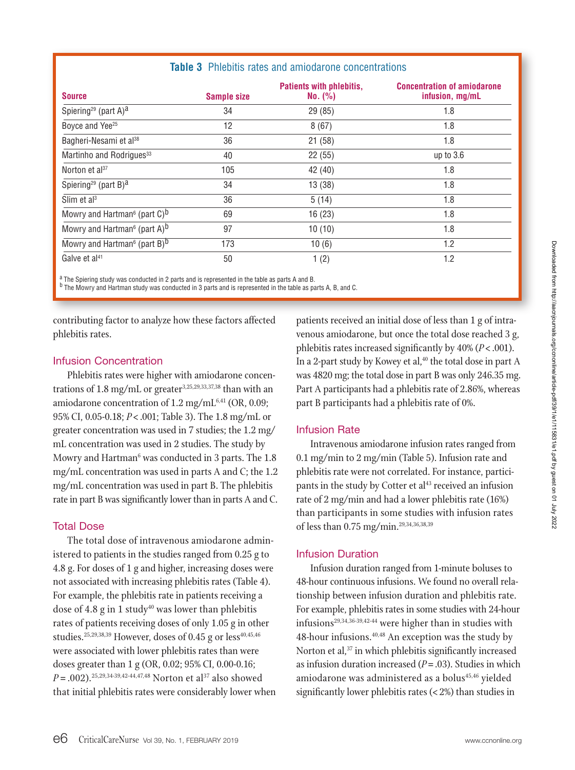| <b>Sample size</b> | <b>Patients with phlebitis,</b><br>No. (%) | <b>Concentration of amiodarone</b><br>infusion, mg/mL |
|--------------------|--------------------------------------------|-------------------------------------------------------|
| 34                 | 29 (85)                                    | 1.8                                                   |
| 12                 | 8(67)                                      | 1.8                                                   |
| 36                 | 21(58)                                     | 1.8                                                   |
| 40                 | 22(55)                                     | up to $3.6$                                           |
| 105                | 42 (40)                                    | 1.8                                                   |
| 34                 | 13(38)                                     | 1.8                                                   |
| 36                 | 5(14)                                      | 1.8                                                   |
| 69                 | 16(23)                                     | 1.8                                                   |
| 97                 | 10(10)                                     | 1.8                                                   |
| 173                | 10(6)                                      | 1.2                                                   |
| 50                 | 1(2)                                       | 1.2                                                   |
|                    |                                            |                                                       |

**Table 3** Phlebitis rates and amiodarone concentrations

<sup>a</sup> The Spiering study was conducted in 2 parts and is represented in the table as parts A and B.

b The Mowry and Hartman study was conducted in 3 parts and is represented in the table as parts A, B, and C.

contributing factor to analyze how these factors affected phlebitis rates.

#### Infusion Concentration

Phlebitis rates were higher with amiodarone concentrations of 1.8 mg/mL or greater<sup>3,25,29,33,37,38</sup> than with an amiodarone concentration of  $1.2$  mg/mL<sup>6,41</sup> (OR, 0.09; 95% CI, 0.05-0.18; *P*< .001; Table 3). The 1.8 mg/mL or greater concentration was used in 7 studies; the 1.2 mg/ mL concentration was used in 2 studies. The study by Mowry and Hartman<sup>6</sup> was conducted in 3 parts. The 1.8 mg/mL concentration was used in parts A and C; the 1.2 mg/mL concentration was used in part B. The phlebitis rate in part B was significantly lower than in parts A and C.

#### Total Dose

The total dose of intravenous amiodarone administered to patients in the studies ranged from 0.25 g to 4.8 g. For doses of 1 g and higher, increasing doses were not associated with increasing phlebitis rates (Table 4). For example, the phlebitis rate in patients receiving a dose of 4.8 g in 1 study<sup>40</sup> was lower than phlebitis rates of patients receiving doses of only 1.05 g in other studies.<sup>25,29,38,39</sup> However, doses of 0.45 g or less<sup>40,45,46</sup> were associated with lower phlebitis rates than were doses greater than 1 g (OR, 0.02; 95% CI, 0.00-0.16;  $P = .002$ ).<sup>25,29,34-39,42-44,47,48</sup> Norton et al<sup>37</sup> also showed that initial phlebitis rates were considerably lower when patients received an initial dose of less than 1 g of intravenous amiodarone, but once the total dose reached 3 g, phlebitis rates increased significantly by 40% (*P*< .001). In a 2-part study by Kowey et al, $40$  the total dose in part A was 4820 mg; the total dose in part B was only 246.35 mg. Part A participants had a phlebitis rate of 2.86%, whereas part B participants had a phlebitis rate of 0%.

#### Infusion Rate

Intravenous amiodarone infusion rates ranged from 0.1 mg/min to 2 mg/min (Table 5). Infusion rate and phlebitis rate were not correlated. For instance, participants in the study by Cotter et al<sup>43</sup> received an infusion rate of 2 mg/min and had a lower phlebitis rate (16%) than participants in some studies with infusion rates of less than 0.75 mg/min.29,34,36,38,39

#### Infusion Duration

Infusion duration ranged from 1-minute boluses to 48-hour continuous infusions. We found no overall relationship between infusion duration and phlebitis rate. For example, phlebitis rates in some studies with 24-hour infusions<sup>29,34,36-39,42-44</sup> were higher than in studies with 48-hour infusions.40,48 An exception was the study by Norton et al,<sup>37</sup> in which phlebitis significantly increased as infusion duration increased (*P*=.03). Studies in which amiodarone was administered as a bolus<sup>45,46</sup> yielded significantly lower phlebitis rates (< 2%) than studies in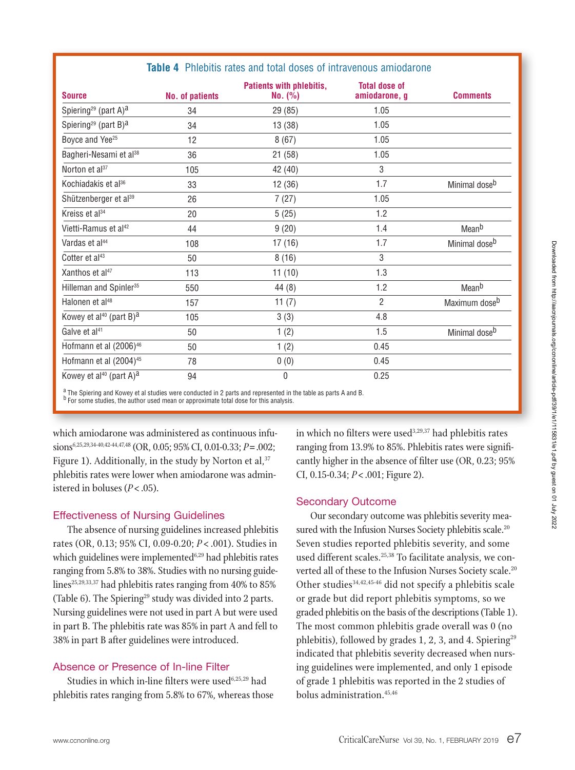| <b>Source</b>                                   | <b>No. of patients</b> | Patients with phlebitis,<br>No. (%) | <b>Total dose of</b><br>amiodarone, g | <b>Comments</b>           |
|-------------------------------------------------|------------------------|-------------------------------------|---------------------------------------|---------------------------|
| Spiering <sup>29</sup> (part A) <sup>a</sup>    | 34                     | 29 (85)                             | 1.05                                  |                           |
| Spiering <sup>29</sup> (part B) <sup>a</sup>    | 34                     | 13(38)                              | 1.05                                  |                           |
| Boyce and Yee <sup>25</sup>                     | 12                     | 8(67)                               | 1.05                                  |                           |
| Bagheri-Nesami et al <sup>38</sup>              | 36                     | 21(58)                              | 1.05                                  |                           |
| Norton et al <sup>37</sup>                      | 105                    | 42 (40)                             | 3                                     |                           |
| Kochiadakis et al <sup>36</sup>                 | 33                     | 12(36)                              | 1.7                                   | Minimal dose <sup>b</sup> |
| Shützenberger et al <sup>39</sup>               | 26                     | 7(27)                               | 1.05                                  |                           |
| Kreiss et al <sup>34</sup>                      | 20                     | 5(25)                               | 1.2                                   |                           |
| Vietti-Ramus et al <sup>42</sup>                | 44                     | 9(20)                               | 1.4                                   | Meanb                     |
| Vardas et al <sup>44</sup>                      | 108                    | 17(16)                              | 1.7                                   | Minimal dose <sup>b</sup> |
| Cotter et al <sup>43</sup>                      | 50                     | 8(16)                               | 3                                     |                           |
| Xanthos et al <sup>47</sup>                     | 113                    | 11(10)                              | 1.3                                   |                           |
| Hilleman and Spinler <sup>35</sup>              | 550                    | 44(8)                               | 1.2                                   | Meanb                     |
| Halonen et al <sup>48</sup>                     | 157                    | 11 $(7)$                            | $\overline{2}$                        | Maximum dose <sup>b</sup> |
| Kowey et al <sup>40</sup> (part B) <sup>a</sup> | 105                    | 3(3)                                | 4.8                                   |                           |
| Galve et al <sup>41</sup>                       | 50                     | 1(2)                                | 1.5                                   | Minimal dose <sup>b</sup> |
| Hofmann et al (2006) <sup>46</sup>              | 50                     | 1(2)                                | 0.45                                  |                           |
| Hofmann et al (2004) <sup>45</sup>              | 78                     | 0(0)                                | 0.45                                  |                           |
| Kowey et al <sup>40</sup> (part A) <sup>a</sup> | 94                     | 0                                   | 0.25                                  |                           |

#### **Table 4** Phlebitis rates and total doses of intravenous amiodarone

<sup>a</sup> The Spiering and Kowey et al studies were conducted in 2 parts and represented in the table as parts A and B.

<sup>b</sup> For some studies, the author used mean or approximate total dose for this analysis.

which amiodarone was administered as continuous infusions6,25,29,34-40,42-44,47,48 (OR, 0.05; 95% CI, 0.01-0.33; *P*=.002; Figure 1). Additionally, in the study by Norton et al,  $37$ phlebitis rates were lower when amiodarone was administered in boluses (*P*<.05).

#### Effectiveness of Nursing Guidelines

The absence of nursing guidelines increased phlebitis rates (OR, 0.13; 95% CI, 0.09-0.20; *P* < .001). Studies in which guidelines were implemented<sup>6,29</sup> had phlebitis rates ranging from 5.8% to 38%. Studies with no nursing guidelines<sup>25,29,33,37</sup> had phlebitis rates ranging from 40% to 85% (Table 6). The Spiering<sup>29</sup> study was divided into 2 parts. Nursing guidelines were not used in part A but were used in part B. The phlebitis rate was 85% in part A and fell to 38% in part B after guidelines were introduced.

## Absence or Presence of In-line Filter

Studies in which in-line filters were used $6,25,29$  had phlebitis rates ranging from 5.8% to 67%, whereas those in which no filters were used<sup>3,29,37</sup> had phlebitis rates ranging from 13.9% to 85%. Phlebitis rates were significantly higher in the absence of filter use (OR, 0.23; 95% CI, 0.15-0.34; *P*<.001; Figure 2).

## Secondary Outcome

Our secondary outcome was phlebitis severity measured with the Infusion Nurses Society phlebitis scale.<sup>20</sup> Seven studies reported phlebitis severity, and some used different scales.<sup>25,38</sup> To facilitate analysis, we converted all of these to the Infusion Nurses Society scale.<sup>20</sup> Other studies<sup>34,42,45-46</sup> did not specify a phlebitis scale or grade but did report phlebitis symptoms, so we graded phlebitis on the basis of the descriptions (Table 1). The most common phlebitis grade overall was 0 (no phlebitis), followed by grades 1, 2, 3, and 4. Spiering<sup>29</sup> indicated that phlebitis severity decreased when nursing guidelines were implemented, and only 1 episode of grade 1 phlebitis was reported in the 2 studies of bolus administration.45,46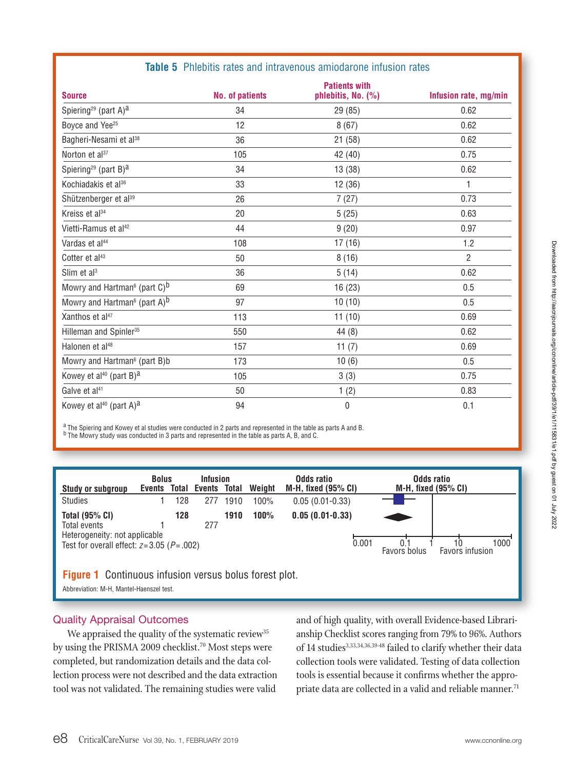| <b>Source</b>                                           | <b>No. of patients</b> | <b>Patients with</b><br>phlebitis, No. (%) | Infusion rate, mg/min |
|---------------------------------------------------------|------------------------|--------------------------------------------|-----------------------|
| Spiering <sup>29</sup> (part A) <sup>a</sup>            | 34                     | 29 (85)                                    | 0.62                  |
| Boyce and Yee <sup>25</sup>                             | 12                     | 8(67)                                      | 0.62                  |
| Bagheri-Nesami et al <sup>38</sup>                      | 36                     | 21(58)                                     | 0.62                  |
| Norton et al <sup>37</sup>                              | 105                    | 42 (40)                                    | 0.75                  |
| Spiering <sup>29</sup> (part B) <sup>a</sup>            | 34                     | 13(38)                                     | 0.62                  |
| Kochiadakis et al <sup>36</sup>                         | 33                     | 12(36)                                     | 1                     |
| Shützenberger et al <sup>39</sup>                       | 26                     | 7(27)                                      | 0.73                  |
| Kreiss et al <sup>34</sup>                              | 20                     | 5(25)                                      | 0.63                  |
| Vietti-Ramus et al <sup>42</sup>                        | 44                     | 9(20)                                      | 0.97                  |
| Vardas et al <sup>44</sup>                              | 108                    | 17(16)                                     | 1.2                   |
| Cotter et al <sup>43</sup>                              | 50                     | 8(16)                                      | $\overline{2}$        |
| Slim et al <sup>3</sup>                                 | 36                     | 5(14)                                      | 0.62                  |
| Mowry and Hartman <sup>6</sup> (part $C$ ) <sup>b</sup> | 69                     | 16(23)                                     | 0.5                   |
| Mowry and Hartman <sup>6</sup> (part A) <sup>b</sup>    | 97                     | 10(10)                                     | 0.5                   |
| Xanthos et al <sup>47</sup>                             | 113                    | 11(10)                                     | 0.69                  |
| Hilleman and Spinler <sup>35</sup>                      | 550                    | 44(8)                                      | 0.62                  |
| Halonen et al <sup>48</sup>                             | 157                    | 11 $(7)$                                   | 0.69                  |
| Mowry and Hartman <sup>6</sup> (part B)b                | 173                    | 10(6)                                      | 0.5                   |
| Kowey et al <sup>40</sup> (part B) <sup>a</sup>         | 105                    | 3(3)                                       | 0.75                  |
| Galve et al <sup>41</sup>                               | 50                     | 1(2)                                       | 0.83                  |
| Kowey et al <sup>40</sup> (part A) <sup>a</sup>         | 94                     | 0                                          | 0.1                   |

#### **Table 5** Phlebitis rates and intravenous amiodarone infusion rates

 $\frac{a}{b}$  The Spiering and Kowey et al studies were conducted in 2 parts and represented in the table as parts A and B. <sup>b</sup> The Mowry study was conducted in 3 parts and represented in the table as parts A, B, and C.

| <b>Study or subgroup</b>                                                                                                 | <b>Bolus</b><br>Events |     | <b>Infusion</b><br><b>Total Events</b> | Total | Weight | Odds ratio<br><b>M-H, fixed (95% CI)</b> | Odds ratio<br>M-H, fixed $(95\% \text{ Cl})$ |      |
|--------------------------------------------------------------------------------------------------------------------------|------------------------|-----|----------------------------------------|-------|--------|------------------------------------------|----------------------------------------------|------|
| <b>Studies</b>                                                                                                           |                        | 128 | 277                                    | 1910  | 100%   | $0.05(0.01-0.33)$                        |                                              |      |
| <b>Total (95% CI)</b><br>Total events<br>Heterogeneity: not applicable<br>Test for overall effect: $z=3.05$ ( $P=.002$ ) |                        | 128 | 277                                    | 1910  | 100%   | $0.05(0.01-0.33)$<br>0.001               | 10<br>Favors infusion<br>Favors bolus        | 1000 |
| <b>Figure 1</b> Continuous infusion versus bolus forest plot.                                                            |                        |     |                                        |       |        |                                          |                                              |      |

Abbreviation: M-H, Mantel-Haenszel test.

#### Quality Appraisal Outcomes

We appraised the quality of the systematic review<sup>35</sup> by using the PRISMA 2009 checklist.<sup>70</sup> Most steps were completed, but randomization details and the data collection process were not described and the data extraction tool was not validated. The remaining studies were valid

and of high quality, with overall Evidence-based Librarianship Checklist scores ranging from 79% to 96%. Authors of 14 studies<sup>3,33,34,36,39-48</sup> failed to clarify whether their data collection tools were validated. Testing of data collection tools is essential because it confirms whether the appropriate data are collected in a valid and reliable manner.<sup>71</sup>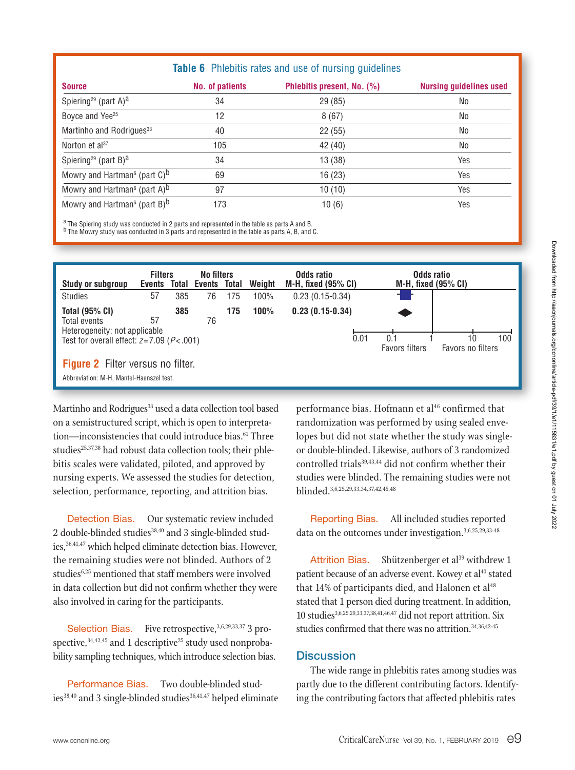## **Table 6** Phlebitis rates and use of nursing guidelines

| <b>Source</b>                                           | <b>No. of patients</b> | Phlebitis present, No. (%) | <b>Nursing guidelines used</b> |
|---------------------------------------------------------|------------------------|----------------------------|--------------------------------|
| Spiering <sup>29</sup> (part A) <sup>a</sup>            | 34                     | 29 (85)                    | No                             |
| Boyce and Yee <sup>25</sup>                             | 12                     | 8(67)                      | No                             |
| Martinho and Rodrigues <sup>33</sup>                    | 40                     | 22(55)                     | No                             |
| Norton et $al^{37}$                                     | 105                    | 42 (40)                    | No                             |
| Spiering <sup>29</sup> (part B) <sup>a</sup>            | 34                     | 13 (38)                    | Yes                            |
| Mowry and Hartman <sup>6</sup> (part $C$ ) <sup>b</sup> | 69                     | 16(23)                     | Yes                            |
| Mowry and Hartman <sup>6</sup> (part A) <sup>b</sup>    | 97                     | 10(10)                     | Yes                            |
| Mowry and Hartman <sup>6</sup> (part B) <sup>b</sup>    | 173                    | 10(6)                      | Yes                            |

<sup>a</sup> The Spiering study was conducted in 2 parts and represented in the table as parts A and B.

b The Mowry study was conducted in 3 parts and represented in the table as parts A, B, and C.



Martinho and Rodrigues<sup>33</sup> used a data collection tool based on a semistructured script, which is open to interpretation—inconsistencies that could introduce bias.<sup>61</sup> Three studies<sup>25,37,38</sup> had robust data collection tools; their phlebitis scales were validated, piloted, and approved by nursing experts. We assessed the studies for detection, selection, performance, reporting, and attrition bias.

Detection Bias. Our systematic review included 2 double-blinded studies<sup>38,40</sup> and 3 single-blinded studies,<sup>36,41,47</sup> which helped eliminate detection bias. However, the remaining studies were not blinded. Authors of 2 studies<sup>6,25</sup> mentioned that staff members were involved in data collection but did not confirm whether they were also involved in caring for the participants.

Selection Bias. Five retrospective,  $3,6,29,33,37$  3 prospective,  $34,42,45$  and 1 descriptive<sup>25</sup> study used nonprobability sampling techniques, which introduce selection bias.

Performance Bias. Two double-blinded studies<sup>38,40</sup> and 3 single-blinded studies<sup>36,41,47</sup> helped eliminate performance bias. Hofmann et al<sup>46</sup> confirmed that randomization was performed by using sealed envelopes but did not state whether the study was singleor double-blinded. Likewise, authors of 3 randomized controlled trials<sup>39,43,44</sup> did not confirm whether their studies were blinded. The remaining studies were not blinded.3,6,25,29,33,34,37,42,45,48

Reporting Bias. All included studies reported data on the outcomes under investigation.3,6,25,29,33-48

Attrition Bias. Shützenberger et al<sup>39</sup> withdrew 1 patient because of an adverse event. Kowey et al<sup>40</sup> stated that  $14\%$  of participants died, and Halonen et al<sup>48</sup> stated that 1 person died during treatment. In addition, 10 studies3,6,25,29,33,37,38,41,46,47 did not report attrition. Six studies confirmed that there was no attrition.<sup>34,36,42-45</sup>

#### **Discussion**

The wide range in phlebitis rates among studies was partly due to the different contributing factors. Identifying the contributing factors that affected phlebitis rates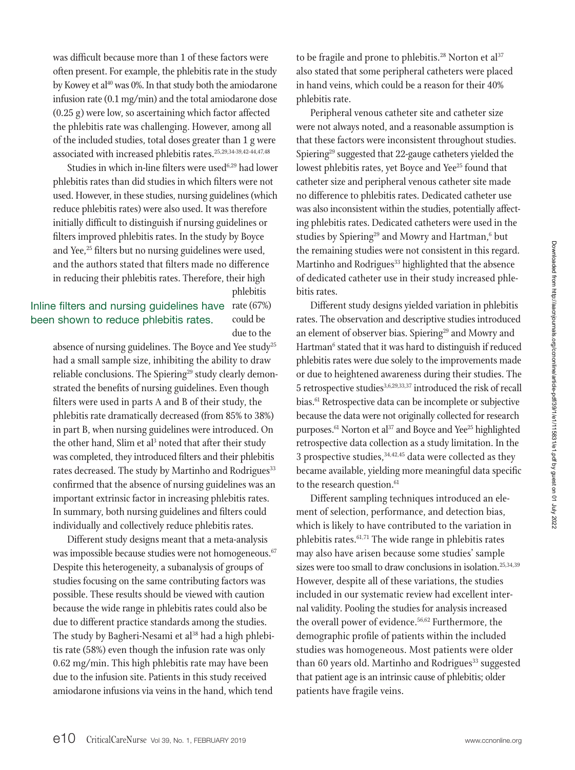was difficult because more than 1 of these factors were often present. For example, the phlebitis rate in the study by Kowey et al<sup>40</sup> was 0%. In that study both the amiodarone infusion rate (0.1 mg/min) and the total amiodarone dose (0.25 g) were low, so ascertaining which factor affected the phlebitis rate was challenging. However, among all of the included studies, total doses greater than 1 g were associated with increased phlebitis rates.25,29,34-39,42-44,47,48

Studies in which in-line filters were used<sup>6,29</sup> had lower phlebitis rates than did studies in which filters were not used. However, in these studies, nursing guidelines (which reduce phlebitis rates) were also used. It was therefore initially difficult to distinguish if nursing guidelines or filters improved phlebitis rates. In the study by Boyce and Yee,<sup>25</sup> filters but no nursing guidelines were used, and the authors stated that filters made no difference in reducing their phlebitis rates. Therefore, their high

phlebitis

## Inline filters and nursing guidelines have rate (67%) been shown to reduce phlebitis rates.

could be due to the

absence of nursing guidelines. The Boyce and Yee study<sup>25</sup> had a small sample size, inhibiting the ability to draw reliable conclusions. The Spiering<sup>29</sup> study clearly demonstrated the benefits of nursing guidelines. Even though filters were used in parts A and B of their study, the phlebitis rate dramatically decreased (from 85% to 38%) in part B, when nursing guidelines were introduced. On the other hand, Slim et al<sup>3</sup> noted that after their study was completed, they introduced filters and their phlebitis rates decreased. The study by Martinho and Rodrigues<sup>33</sup> confirmed that the absence of nursing guidelines was an important extrinsic factor in increasing phlebitis rates. In summary, both nursing guidelines and filters could individually and collectively reduce phlebitis rates.

Different study designs meant that a meta-analysis was impossible because studies were not homogeneous.<sup>67</sup> Despite this heterogeneity, a subanalysis of groups of studies focusing on the same contributing factors was possible. These results should be viewed with caution because the wide range in phlebitis rates could also be due to different practice standards among the studies. The study by Bagheri-Nesami et al<sup>38</sup> had a high phlebitis rate (58%) even though the infusion rate was only 0.62 mg/min. This high phlebitis rate may have been due to the infusion site. Patients in this study received amiodarone infusions via veins in the hand, which tend

to be fragile and prone to phlebitis.<sup>28</sup> Norton et al<sup>37</sup> also stated that some peripheral catheters were placed in hand veins, which could be a reason for their 40% phlebitis rate.

Peripheral venous catheter site and catheter size were not always noted, and a reasonable assumption is that these factors were inconsistent throughout studies. Spiering<sup>29</sup> suggested that 22-gauge catheters yielded the lowest phlebitis rates, yet Boyce and Yee<sup>25</sup> found that catheter size and peripheral venous catheter site made no difference to phlebitis rates. Dedicated catheter use was also inconsistent within the studies, potentially affecting phlebitis rates. Dedicated catheters were used in the studies by Spiering<sup>29</sup> and Mowry and Hartman,<sup>6</sup> but the remaining studies were not consistent in this regard. Martinho and Rodrigues $33$  highlighted that the absence of dedicated catheter use in their study increased phlebitis rates.

Different study designs yielded variation in phlebitis rates. The observation and descriptive studies introduced an element of observer bias. Spiering<sup>29</sup> and Mowry and Hartman<sup>6</sup> stated that it was hard to distinguish if reduced phlebitis rates were due solely to the improvements made or due to heightened awareness during their studies. The 5 retrospective studies<sup>3,6,29,33,37</sup> introduced the risk of recall bias.61 Retrospective data can be incomplete or subjective because the data were not originally collected for research purposes.<sup>61</sup> Norton et al<sup>37</sup> and Boyce and Yee<sup>25</sup> highlighted retrospective data collection as a study limitation. In the 3 prospective studies,  $34,42,45$  data were collected as they became available, yielding more meaningful data specific to the research question.<sup>61</sup>

Different sampling techniques introduced an element of selection, performance, and detection bias, which is likely to have contributed to the variation in phlebitis rates. $61,71$  The wide range in phlebitis rates may also have arisen because some studies' sample sizes were too small to draw conclusions in isolation.<sup>25,34,39</sup> However, despite all of these variations, the studies included in our systematic review had excellent internal validity. Pooling the studies for analysis increased the overall power of evidence.<sup>56,62</sup> Furthermore, the demographic profile of patients within the included studies was homogeneous. Most patients were older than 60 years old. Martinho and Rodrigues $33$  suggested that patient age is an intrinsic cause of phlebitis; older patients have fragile veins.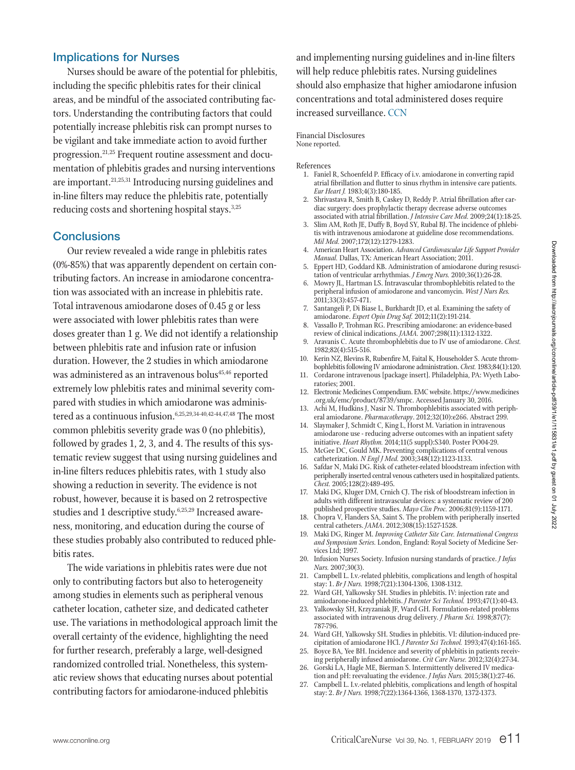#### Implications for Nurses

Nurses should be aware of the potential for phlebitis, including the specific phlebitis rates for their clinical areas, and be mindful of the associated contributing factors. Understanding the contributing factors that could potentially increase phlebitis risk can prompt nurses to be vigilant and take immediate action to avoid further progression.<sup>21,25</sup> Frequent routine assessment and documentation of phlebitis grades and nursing interventions are important.<sup>21,25,31</sup> Introducing nursing guidelines and in-line filters may reduce the phlebitis rate, potentially reducing costs and shortening hospital stays.<sup>3,25</sup>

#### **Conclusions**

Our review revealed a wide range in phlebitis rates (0%-85%) that was apparently dependent on certain contributing factors. An increase in amiodarone concentration was associated with an increase in phlebitis rate. Total intravenous amiodarone doses of 0.45 g or less were associated with lower phlebitis rates than were doses greater than 1 g. We did not identify a relationship between phlebitis rate and infusion rate or infusion duration. However, the 2 studies in which amiodarone was administered as an intravenous bolus<sup>45,46</sup> reported extremely low phlebitis rates and minimal severity compared with studies in which amiodarone was administered as a continuous infusion.<sup>6,25,29,34-40,42-44,47,48</sup> The most common phlebitis severity grade was 0 (no phlebitis), followed by grades 1, 2, 3, and 4. The results of this systematic review suggest that using nursing guidelines and in-line filters reduces phlebitis rates, with 1 study also showing a reduction in severity. The evidence is not robust, however, because it is based on 2 retrospective studies and 1 descriptive study.6,25,29 Increased awareness, monitoring, and education during the course of these studies probably also contributed to reduced phlebitis rates.

The wide variations in phlebitis rates were due not only to contributing factors but also to heterogeneity among studies in elements such as peripheral venous catheter location, catheter size, and dedicated catheter use. The variations in methodological approach limit the overall certainty of the evidence, highlighting the need for further research, preferably a large, well-designed randomized controlled trial. Nonetheless, this systematic review shows that educating nurses about potential contributing factors for amiodarone-induced phlebitis

and implementing nursing guidelines and in-line filters will help reduce phlebitis rates. Nursing guidelines should also emphasize that higher amiodarone infusion concentrations and total administered doses require increased surveillance. CCN

#### Financial Disclosures None reported.

#### References

- 1. Faniel R, Schoenfeld P. Efficacy of i.v. amiodarone in converting rapid atrial fibrillation and flutter to sinus rhythm in intensive care patients. *Eur Heart J.* 1983;4(3):180-185.
- 2. Shrivastava R, Smith B, Caskey D, Reddy P. Atrial fibrillation after cardiac surgery: does prophylactic therapy decrease adverse outcomes associated with atrial fibrillation. *J Intensive Care Med.* 2009;24(1):18-25.
- 3. Slim AM, Roth JE, Duffy B, Boyd SY, Rubal BJ. The incidence of phlebitis with intravenous amiodarone at guideline dose recommendations. *Mil Med.* 2007;172(12):1279-1283.
- 4. American Heart Association. *Advanced Cardiovascular Life Support Provider Manual.* Dallas, TX: American Heart Association; 2011.
- 5. Eppert HD, Goddard KB. Administration of amiodarone during resuscitation of ventricular arrhythmias. *J Emerg Nurs.* 2010;36(1):26-28.
- 6. Mowry JL, Hartman LS. Intravascular thrombophlebitis related to the peripheral infusion of amiodarone and vancomycin. *West J Nurs Res.* 2011;33(3):457-471.
- 7. Santangeli P, Di Biase L, Burkhardt JD, et al. Examining the safety of amiodarone. *Expert Opin Drug Saf.* 2012;11(2):191-214.
- 8. Vassallo P, Trohman RG. Prescribing amiodarone: an evidence-based review of clinical indications. *JAMA.* 2007;298(11):1312-1322.
- 9. Aravanis C. Acute thrombophlebitis due to IV use of amiodarone. *Chest.* 1982;82(4):515-516.
- 10. Kerin NZ, Blevins R, Rubenfire M, Faital K, Householder S. Acute thrombophlebitis following IV amiodarone administration. *Chest.* 1983;84(1):120.
- 11. Cordarone intravenous [package insert]. Philadelphia, PA: Wyeth Laboratories; 2001.
- 12. Electronic Medicines Compendium. EMC website. https://www.medicines .org.uk/emc/product/8739/smpc. Accessed January 30, 2016.
- 13. Achi M, Hudkins J, Nasir N. Thrombophlebitis associated with peripheral amiodarone. *Pharmacotherapy*. 2012;32(10):e266. Abstract 299.
- 14. Slaymaker J, Schmidt C, King L, Horst M. Variation in intravenous amiodarone use - reducing adverse outcomes with an inpatient safety initiative. *Heart Rhythm.* 2014;11(5 suppl):S340. Poster PO04-29.
- 15. McGee DC, Gould MK. Preventing complications of central venous catheterization. *N Engl J Med.* 2003;348(12):1123-1133.
- 16. Safdar N, Maki DG. Risk of catheter-related bloodstream infection with peripherally inserted central venous catheters used in hospitalized patients. *Chest.* 2005;128(2):489-495.
- 17. Maki DG, Kluger DM, Crnich CJ. The risk of bloodstream infection in adults with different intravascular devices: a systematic review of 200 published prospective studies. *Mayo Clin Proc.* 2006;81(9):1159-1171.
- 18. Chopra V, Flanders SA, Saint S. The problem with peripherally inserted central catheters. *JAMA*. 2012;308(15):1527-1528.
- 19. Maki DG, Ringer M. *Improving Catheter Site Care. International Congress and Symposium Series.* London, England: Royal Society of Medicine Services Ltd; 1997.
- 20. Infusion Nurses Society. Infusion nursing standards of practice. *J Infus Nurs.* 2007;30(3).
- 21. Campbell L. I.v.-related phlebitis, complications and length of hospital stay: 1. *Br J Nurs.* 1998;7(21):1304-1306, 1308-1312.
- 22. Ward GH, Yalkowsky SH. Studies in phlebitis. IV: injection rate and amiodarone-induced phlebitis. *J Parenter Sci Technol.* 1993;47(1):40-43.
- 23. Yalkowsky SH, Krzyzaniak JF, Ward GH. Formulation-related problems associated with intravenous drug delivery. *J Pharm Sci.* 1998;87(7): 787-796.
- 24. Ward GH, Yalkowsky SH. Studies in phlebitis. VI: dilution-induced precipitation of amiodarone HCl. *J Parenter Sci Technol.* 1993;47(4):161-165.
- 25. Boyce BA, Yee BH. Incidence and severity of phlebitis in patients receiving peripherally infused amiodarone. *Crit Care Nurse.* 2012;32(4):27-34.
- 26. Gorski LA, Hagle ME, Bierman S. Intermittently delivered IV medication and pH: reevaluating the evidence. *J Infus Nurs.* 2015;38(1):27-46.
- 27. Campbell L. I.v.-related phlebitis, complications and length of hospital stay: 2. *Br J Nurs.* 1998;7(22):1364-1366, 1368-1370, 1372-1373.

Downloaded from http://aacnjournals.org/ccnonline/article-pdf/39/1/e1/115831/e1.pdf by guest on 01 July 2022